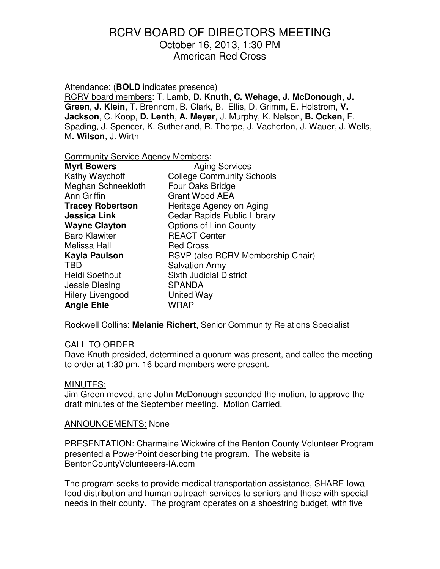Attendance: (**BOLD** indicates presence)

RCRV board members: T. Lamb, **D. Knuth**, **C. Wehage**, **J. McDonough**, **J. Green**, **J. Klein**, T. Brennom, B. Clark, B. Ellis, D. Grimm, E. Holstrom, **V. Jackson**, C. Koop, **D. Lenth**, **A. Meyer**, J. Murphy, K. Nelson, **B. Ocken**, F. Spading, J. Spencer, K. Sutherland, R. Thorpe, J. Vacherlon, J. Wauer, J. Wells, M**. Wilson**, J. Wirth

Community Service Agency Members:

| <b>Myrt Bowers</b>      | <b>Aging Services</b>             |
|-------------------------|-----------------------------------|
| Kathy Waychoff          | <b>College Community Schools</b>  |
| Meghan Schneekloth      | Four Oaks Bridge                  |
| Ann Griffin             | <b>Grant Wood AEA</b>             |
| <b>Tracey Robertson</b> | Heritage Agency on Aging          |
| <b>Jessica Link</b>     | Cedar Rapids Public Library       |
| <b>Wayne Clayton</b>    | <b>Options of Linn County</b>     |
| <b>Barb Klawiter</b>    | <b>REACT Center</b>               |
| Melissa Hall            | <b>Red Cross</b>                  |
| Kayla Paulson           | RSVP (also RCRV Membership Chair) |
| <b>TBD</b>              | <b>Salvation Army</b>             |
| <b>Heidi Soethout</b>   | <b>Sixth Judicial District</b>    |
| Jessie Diesing          | <b>SPANDA</b>                     |
| <b>Hilery Livengood</b> | United Way                        |
| <b>Angie Ehle</b>       | <b>WRAP</b>                       |

Rockwell Collins: **Melanie Richert**, Senior Community Relations Specialist

### CALL TO ORDER

Dave Knuth presided, determined a quorum was present, and called the meeting to order at 1:30 pm. 16 board members were present.

### MINUTES:

Jim Green moved, and John McDonough seconded the motion, to approve the draft minutes of the September meeting. Motion Carried.

ANNOUNCEMENTS: None

PRESENTATION: Charmaine Wickwire of the Benton County Volunteer Program presented a PowerPoint describing the program. The website is BentonCountyVolunteeers-IA.com

The program seeks to provide medical transportation assistance, SHARE Iowa food distribution and human outreach services to seniors and those with special needs in their county. The program operates on a shoestring budget, with five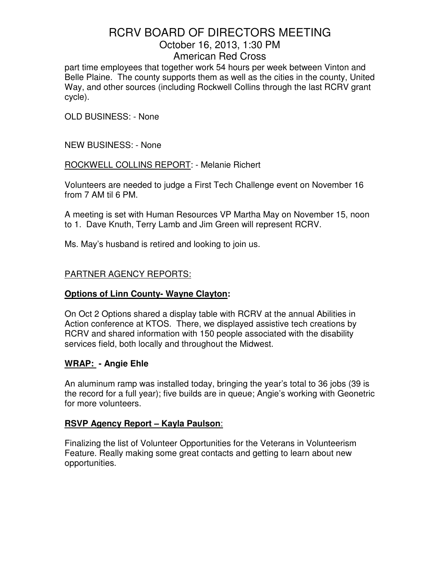part time employees that together work 54 hours per week between Vinton and Belle Plaine. The county supports them as well as the cities in the county, United Way, and other sources (including Rockwell Collins through the last RCRV grant cycle).

OLD BUSINESS: - None

NEW BUSINESS: - None

ROCKWELL COLLINS REPORT: - Melanie Richert

Volunteers are needed to judge a First Tech Challenge event on November 16 from 7 AM til 6 PM.

A meeting is set with Human Resources VP Martha May on November 15, noon to 1. Dave Knuth, Terry Lamb and Jim Green will represent RCRV.

Ms. May's husband is retired and looking to join us.

# PARTNER AGENCY REPORTS:

# **Options of Linn County- Wayne Clayton:**

On Oct 2 Options shared a display table with RCRV at the annual Abilities in Action conference at KTOS. There, we displayed assistive tech creations by RCRV and shared information with 150 people associated with the disability services field, both locally and throughout the Midwest.

# **WRAP: - Angie Ehle**

An aluminum ramp was installed today, bringing the year's total to 36 jobs (39 is the record for a full year); five builds are in queue; Angie's working with Geonetric for more volunteers.

# **RSVP Agency Report – Kayla Paulson**:

Finalizing the list of Volunteer Opportunities for the Veterans in Volunteerism Feature. Really making some great contacts and getting to learn about new opportunities.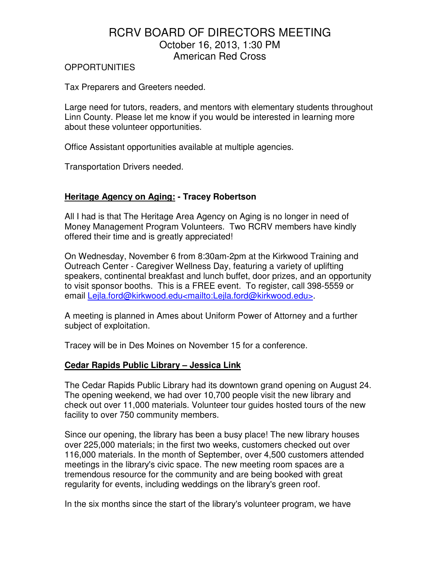#### OPPORTUNITIES

Tax Preparers and Greeters needed.

Large need for tutors, readers, and mentors with elementary students throughout Linn County. Please let me know if you would be interested in learning more about these volunteer opportunities.

Office Assistant opportunities available at multiple agencies.

Transportation Drivers needed.

## **Heritage Agency on Aging: - Tracey Robertson**

All I had is that The Heritage Area Agency on Aging is no longer in need of Money Management Program Volunteers. Two RCRV members have kindly offered their time and is greatly appreciated!

On Wednesday, November 6 from 8:30am-2pm at the Kirkwood Training and Outreach Center - Caregiver Wellness Day, featuring a variety of uplifting speakers, continental breakfast and lunch buffet, door prizes, and an opportunity to visit sponsor booths. This is a FREE event. To register, call 398-5559 or email Lejla.ford@kirkwood.edu<mailto:Lejla.ford@kirkwood.edu>.

A meeting is planned in Ames about Uniform Power of Attorney and a further subject of exploitation.

Tracey will be in Des Moines on November 15 for a conference.

### **Cedar Rapids Public Library – Jessica Link**

The Cedar Rapids Public Library had its downtown grand opening on August 24. The opening weekend, we had over 10,700 people visit the new library and check out over 11,000 materials. Volunteer tour guides hosted tours of the new facility to over 750 community members.

Since our opening, the library has been a busy place! The new library houses over 225,000 materials; in the first two weeks, customers checked out over 116,000 materials. In the month of September, over 4,500 customers attended meetings in the library's civic space. The new meeting room spaces are a tremendous resource for the community and are being booked with great regularity for events, including weddings on the library's green roof.

In the six months since the start of the library's volunteer program, we have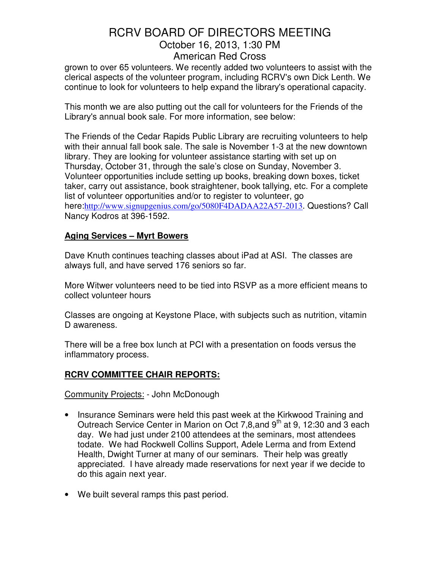grown to over 65 volunteers. We recently added two volunteers to assist with the clerical aspects of the volunteer program, including RCRV's own Dick Lenth. We continue to look for volunteers to help expand the library's operational capacity.

This month we are also putting out the call for volunteers for the Friends of the Library's annual book sale. For more information, see below:

The Friends of the Cedar Rapids Public Library are recruiting volunteers to help with their annual fall book sale. The sale is November 1-3 at the new downtown library. They are looking for volunteer assistance starting with set up on Thursday, October 31, through the sale's close on Sunday, November 3. Volunteer opportunities include setting up books, breaking down boxes, ticket taker, carry out assistance, book straightener, book tallying, etc. For a complete list of volunteer opportunities and/or to register to volunteer, go here:http://www.signupgenius.com/go/5080F4DADAA22A57-2013. Questions? Call Nancy Kodros at 396-1592.

## **Aging Services – Myrt Bowers**

Dave Knuth continues teaching classes about iPad at ASI. The classes are always full, and have served 176 seniors so far.

More Witwer volunteers need to be tied into RSVP as a more efficient means to collect volunteer hours

Classes are ongoing at Keystone Place, with subjects such as nutrition, vitamin D awareness.

There will be a free box lunch at PCI with a presentation on foods versus the inflammatory process.

# **RCRV COMMITTEE CHAIR REPORTS:**

Community Projects: - John McDonough

- Insurance Seminars were held this past week at the Kirkwood Training and Outreach Service Center in Marion on Oct 7,8, and 9<sup>th</sup> at 9, 12:30 and 3 each day. We had just under 2100 attendees at the seminars, most attendees todate. We had Rockwell Collins Support, Adele Lerma and from Extend Health, Dwight Turner at many of our seminars. Their help was greatly appreciated. I have already made reservations for next year if we decide to do this again next year.
- We built several ramps this past period.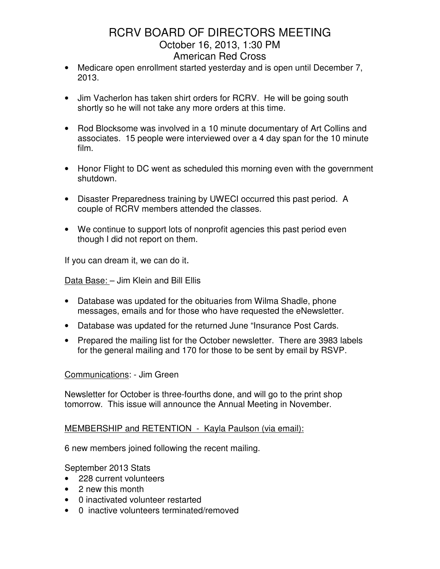- Medicare open enrollment started yesterday and is open until December 7, 2013.
- Jim Vacherlon has taken shirt orders for RCRV. He will be going south shortly so he will not take any more orders at this time.
- Rod Blocksome was involved in a 10 minute documentary of Art Collins and associates. 15 people were interviewed over a 4 day span for the 10 minute film.
- Honor Flight to DC went as scheduled this morning even with the government shutdown.
- Disaster Preparedness training by UWECI occurred this past period. A couple of RCRV members attended the classes.
- We continue to support lots of nonprofit agencies this past period even though I did not report on them.

If you can dream it, we can do it.

Data Base: – Jim Klein and Bill Ellis

- Database was updated for the obituaries from Wilma Shadle, phone messages, emails and for those who have requested the eNewsletter.
- Database was updated for the returned June "Insurance Post Cards.
- Prepared the mailing list for the October newsletter. There are 3983 labels for the general mailing and 170 for those to be sent by email by RSVP.

### Communications: - Jim Green

Newsletter for October is three-fourths done, and will go to the print shop tomorrow. This issue will announce the Annual Meeting in November.

### MEMBERSHIP and RETENTION - Kayla Paulson (via email):

6 new members joined following the recent mailing.

September 2013 Stats

- 228 current volunteers
- 2 new this month
- 0 inactivated volunteer restarted
- 0 inactive volunteers terminated/removed